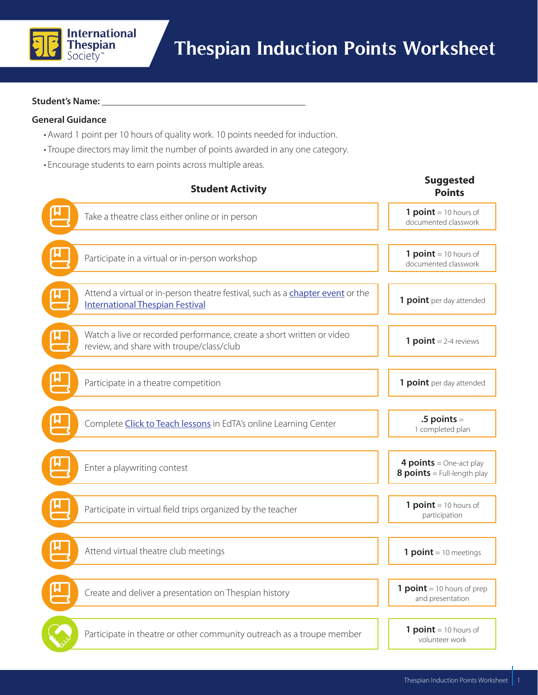

## Student's Name:

## **General Guidance**

- Award 1 point per 10 hours of quality work. 10 points needed for induction.
- Troupe directors may limit the number of points awarded in any one category.
- Encourage students to earn points across multiple areas.

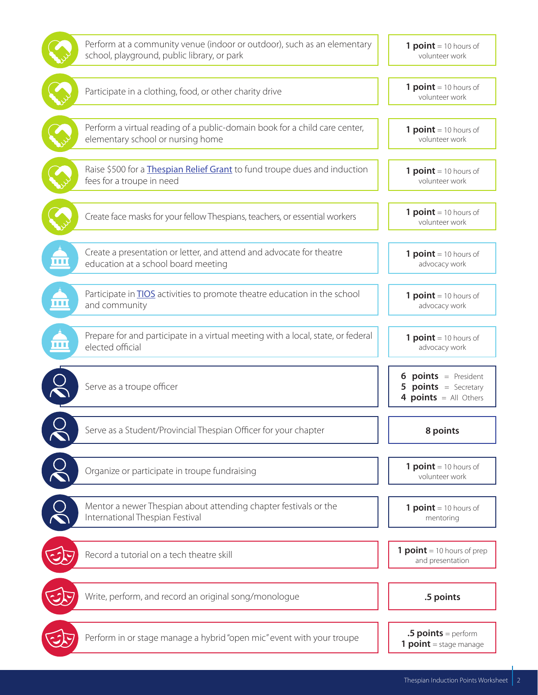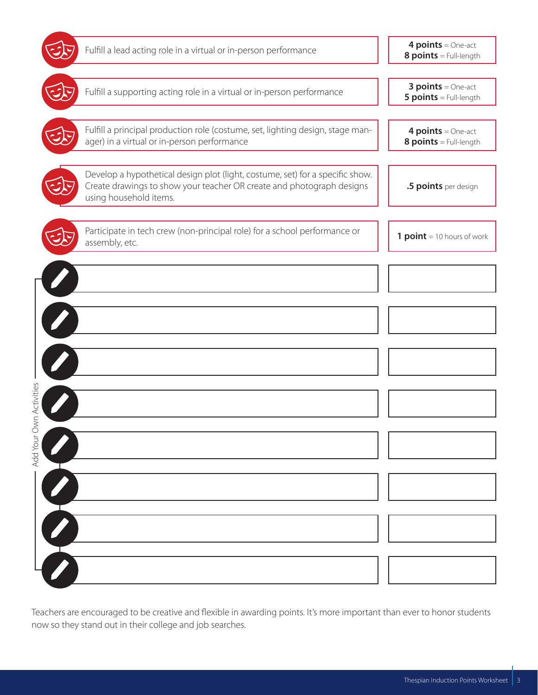

Teachers are encouraged to be creative and flexible in awarding points. It's more important than ever to honor students now so they stand out in their college and job searches.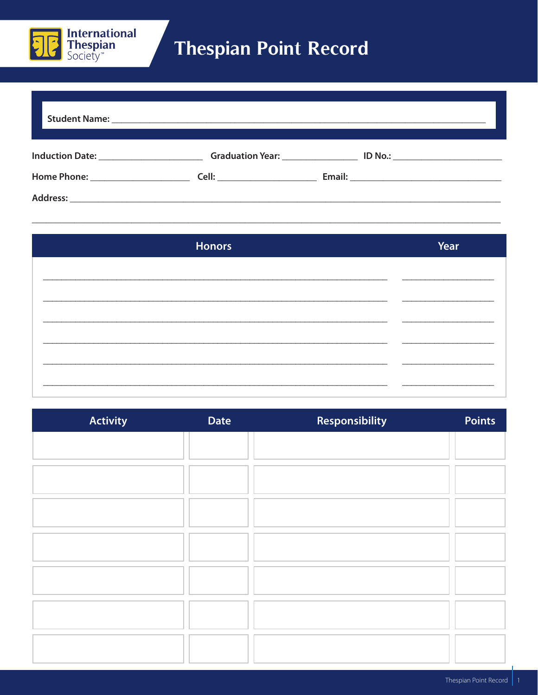

## **Thespian Point Record**

| <b>Honors</b> | Year |
|---------------|------|
|               |      |
|               |      |
|               |      |
|               |      |
|               |      |
|               |      |

| <b>Activity</b> | <b>Date</b> | Responsibility | <b>Points</b> |
|-----------------|-------------|----------------|---------------|
|                 |             |                |               |
|                 |             |                |               |
|                 |             |                |               |
|                 |             |                |               |
|                 |             |                |               |
|                 |             |                |               |
|                 |             |                |               |